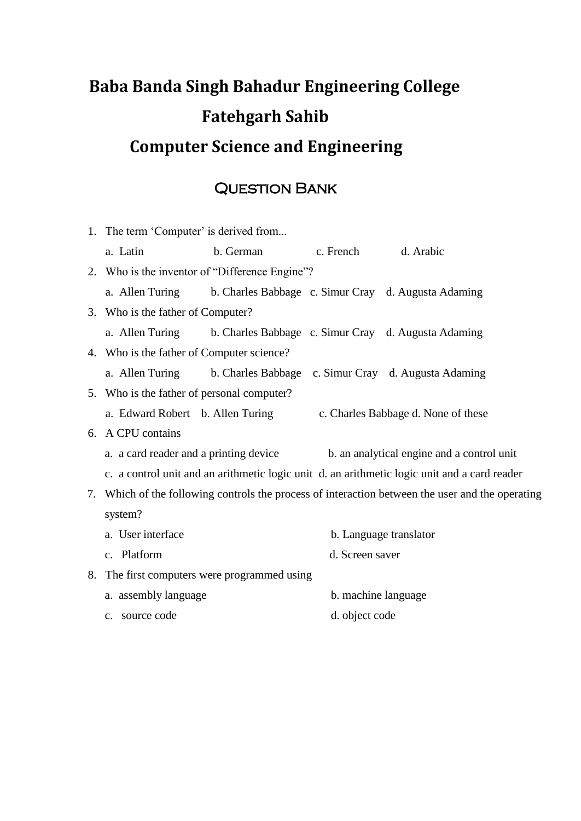## **Baba Banda Singh Bahadur Engineering College Fatehgarh Sahib Computer Science and Engineering**

## Question Bank

|                                                                                                     | 1. The term 'Computer' is derived from                                                       |                                                                     |                     |                                     |  |
|-----------------------------------------------------------------------------------------------------|----------------------------------------------------------------------------------------------|---------------------------------------------------------------------|---------------------|-------------------------------------|--|
|                                                                                                     | a. Latin                                                                                     | b. German                                                           | c. French d. Arabic |                                     |  |
|                                                                                                     |                                                                                              | 2. Who is the inventor of "Difference Engine"?                      |                     |                                     |  |
|                                                                                                     |                                                                                              | a. Allen Turing b. Charles Babbage c. Simur Cray d. Augusta Adaming |                     |                                     |  |
|                                                                                                     | 3. Who is the father of Computer?                                                            |                                                                     |                     |                                     |  |
|                                                                                                     |                                                                                              | a. Allen Turing b. Charles Babbage c. Simur Cray d. Augusta Adaming |                     |                                     |  |
|                                                                                                     | 4. Who is the father of Computer science?                                                    |                                                                     |                     |                                     |  |
|                                                                                                     |                                                                                              | a. Allen Turing b. Charles Babbage c. Simur Cray d. Augusta Adaming |                     |                                     |  |
|                                                                                                     | 5. Who is the father of personal computer?                                                   |                                                                     |                     |                                     |  |
|                                                                                                     |                                                                                              | a. Edward Robert b. Allen Turing                                    |                     | c. Charles Babbage d. None of these |  |
|                                                                                                     | 6. A CPU contains                                                                            |                                                                     |                     |                                     |  |
|                                                                                                     | a. a card reader and a printing device<br>b. an analytical engine and a control unit         |                                                                     |                     |                                     |  |
|                                                                                                     | c. a control unit and an arithmetic logic unit d. an arithmetic logic unit and a card reader |                                                                     |                     |                                     |  |
| Which of the following controls the process of interaction between the user and the operating<br>7. |                                                                                              |                                                                     |                     |                                     |  |
|                                                                                                     | system?                                                                                      |                                                                     |                     |                                     |  |
|                                                                                                     | a. User interface                                                                            |                                                                     |                     | b. Language translator              |  |
|                                                                                                     | c. Platform                                                                                  |                                                                     | d. Screen saver     |                                     |  |
|                                                                                                     |                                                                                              | 8. The first computers were programmed using                        |                     |                                     |  |
|                                                                                                     | a. assembly language                                                                         |                                                                     | b. machine language |                                     |  |
|                                                                                                     | c. source code                                                                               |                                                                     | d. object code      |                                     |  |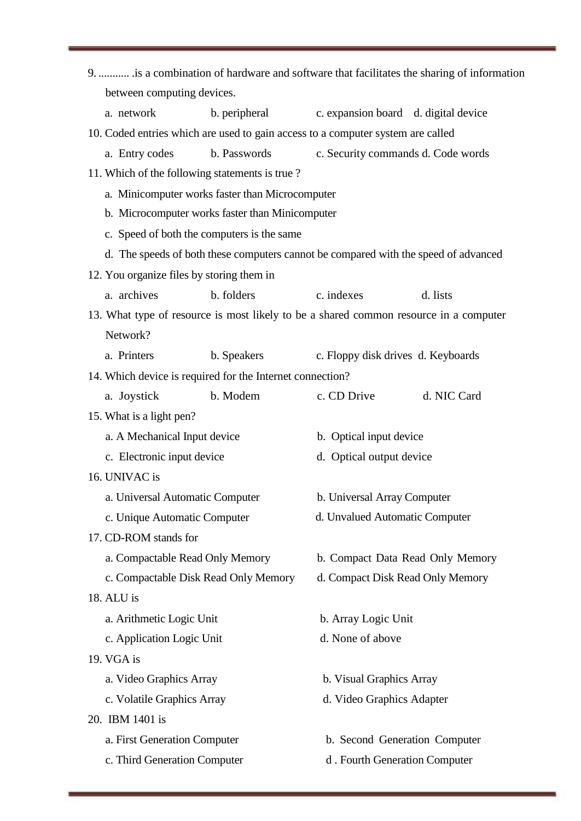| 9.  is a combination of hardware and software that facilitates the sharing of information |                                                 |             |  |  |  |
|-------------------------------------------------------------------------------------------|-------------------------------------------------|-------------|--|--|--|
| between computing devices.                                                                |                                                 |             |  |  |  |
| b. peripheral<br>a. network                                                               | c. expansion board d. digital device            |             |  |  |  |
| 10. Coded entries which are used to gain access to a computer system are called           |                                                 |             |  |  |  |
| a. Entry codes<br>b. Passwords                                                            | c. Security commands d. Code words              |             |  |  |  |
| 11. Which of the following statements is true?                                            |                                                 |             |  |  |  |
| a. Minicomputer works faster than Microcomputer                                           |                                                 |             |  |  |  |
|                                                                                           | b. Microcomputer works faster than Minicomputer |             |  |  |  |
| c. Speed of both the computers is the same                                                |                                                 |             |  |  |  |
| d. The speeds of both these computers cannot be compared with the speed of advanced       |                                                 |             |  |  |  |
| 12. You organize files by storing them in                                                 |                                                 |             |  |  |  |
| a. archives<br>b. folders                                                                 | c. indexes                                      | d. lists    |  |  |  |
| 13. What type of resource is most likely to be a shared common resource in a computer     |                                                 |             |  |  |  |
| Network?                                                                                  |                                                 |             |  |  |  |
| a. Printers<br>b. Speakers                                                                | c. Floppy disk drives d. Keyboards              |             |  |  |  |
| 14. Which device is required for the Internet connection?                                 |                                                 |             |  |  |  |
| a. Joystick<br>b. Modem                                                                   | c. CD Drive                                     | d. NIC Card |  |  |  |
| 15. What is a light pen?                                                                  |                                                 |             |  |  |  |
| a. A Mechanical Input device                                                              | b. Optical input device                         |             |  |  |  |
| c. Electronic input device                                                                | d. Optical output device                        |             |  |  |  |
| 16. UNIVAC is                                                                             |                                                 |             |  |  |  |
| a. Universal Automatic Computer                                                           | b. Universal Array Computer                     |             |  |  |  |
| c. Unique Automatic Computer                                                              | d. Unvalued Automatic Computer                  |             |  |  |  |
| 17. CD-ROM stands for                                                                     |                                                 |             |  |  |  |
| a. Compactable Read Only Memory                                                           | b. Compact Data Read Only Memory                |             |  |  |  |
| c. Compactable Disk Read Only Memory                                                      | d. Compact Disk Read Only Memory                |             |  |  |  |
| 18. ALU is                                                                                |                                                 |             |  |  |  |
| a. Arithmetic Logic Unit                                                                  | b. Array Logic Unit                             |             |  |  |  |
| c. Application Logic Unit                                                                 | d. None of above                                |             |  |  |  |
| 19. VGA is                                                                                |                                                 |             |  |  |  |
| a. Video Graphics Array                                                                   | b. Visual Graphics Array                        |             |  |  |  |
| c. Volatile Graphics Array                                                                | d. Video Graphics Adapter                       |             |  |  |  |
| 20. IBM 1401 is                                                                           |                                                 |             |  |  |  |
| a. First Generation Computer                                                              | b. Second Generation Computer                   |             |  |  |  |
| c. Third Generation Computer                                                              | d. Fourth Generation Computer                   |             |  |  |  |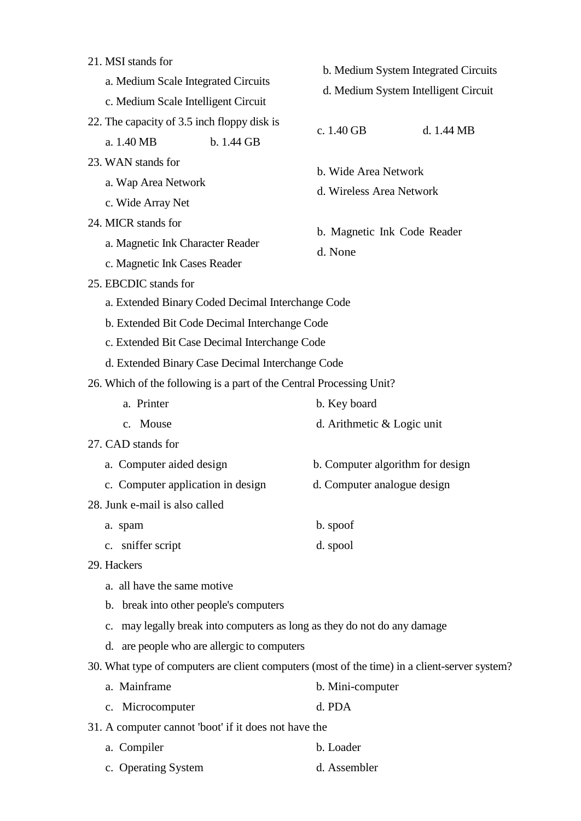| 21. MSI stands for<br>a. Medium Scale Integrated Circuits<br>c. Medium Scale Intelligent Circuit                                                                                                 | b. Medium System Integrated Circuits<br>d. Medium System Intelligent Circuit |  |  |  |
|--------------------------------------------------------------------------------------------------------------------------------------------------------------------------------------------------|------------------------------------------------------------------------------|--|--|--|
| 22. The capacity of 3.5 inch floppy disk is<br>a. 1.40 MB<br>b. 1.44 GB                                                                                                                          | c. 1.40 GB<br>d. 1.44 MB                                                     |  |  |  |
| 23. WAN stands for<br>a. Wap Area Network<br>c. Wide Array Net                                                                                                                                   | b. Wide Area Network<br>d. Wireless Area Network                             |  |  |  |
| 24. MICR stands for<br>a. Magnetic Ink Character Reader<br>c. Magnetic Ink Cases Reader                                                                                                          | b. Magnetic Ink Code Reader<br>d. None                                       |  |  |  |
| 25. EBCDIC stands for<br>a. Extended Binary Coded Decimal Interchange Code<br>b. Extended Bit Code Decimal Interchange Code<br>c. Extended Bit Case Decimal Interchange Code                     |                                                                              |  |  |  |
| d. Extended Binary Case Decimal Interchange Code<br>26. Which of the following is a part of the Central Processing Unit?                                                                         |                                                                              |  |  |  |
| a. Printer<br>c. Mouse                                                                                                                                                                           | b. Key board<br>d. Arithmetic & Logic unit                                   |  |  |  |
| 27. CAD stands for                                                                                                                                                                               |                                                                              |  |  |  |
| a. Computer aided design<br>c. Computer application in design<br>28. Junk e-mail is also called                                                                                                  | b. Computer algorithm for design<br>d. Computer analogue design              |  |  |  |
| a. spam<br>c. sniffer script<br>29. Hackers                                                                                                                                                      | b. spoof<br>d. spool                                                         |  |  |  |
| a. all have the same motive<br>b. break into other people's computers<br>c. may legally break into computers as long as they do not do any damage<br>d. are people who are allergic to computers |                                                                              |  |  |  |
| 30. What type of computers are client computers (most of the time) in a client-server system?<br>a. Mainframe                                                                                    | b. Mini-computer                                                             |  |  |  |
| c. Microcomputer                                                                                                                                                                                 | d. PDA                                                                       |  |  |  |
| 31. A computer cannot 'boot' if it does not have the                                                                                                                                             |                                                                              |  |  |  |
| a. Compiler                                                                                                                                                                                      | b. Loader                                                                    |  |  |  |
| c. Operating System                                                                                                                                                                              | d. Assembler                                                                 |  |  |  |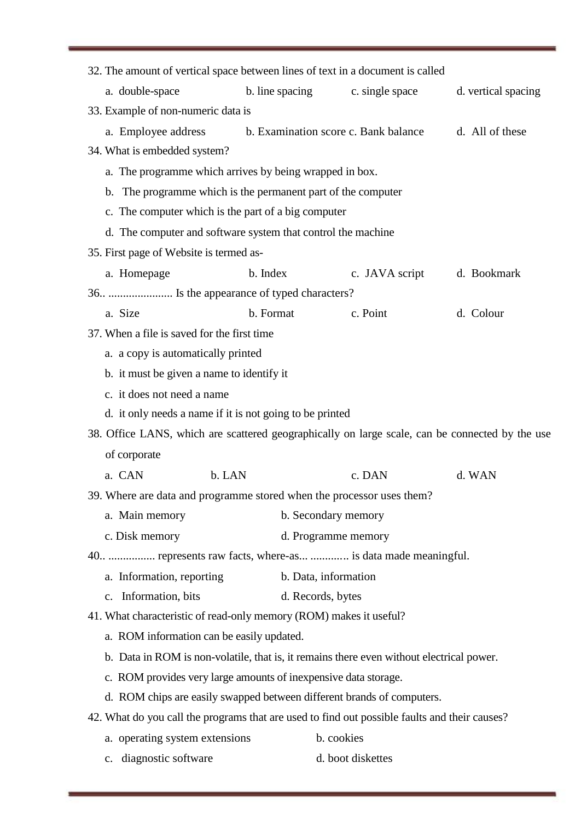| 32. The amount of vertical space between lines of text in a document is called                  |                                      |                   |                     |  |
|-------------------------------------------------------------------------------------------------|--------------------------------------|-------------------|---------------------|--|
| a. double-space                                                                                 | b. line spacing                      | c. single space   | d. vertical spacing |  |
| 33. Example of non-numeric data is                                                              |                                      |                   |                     |  |
| a. Employee address                                                                             | b. Examination score c. Bank balance |                   | d. All of these     |  |
| 34. What is embedded system?                                                                    |                                      |                   |                     |  |
| a. The programme which arrives by being wrapped in box.                                         |                                      |                   |                     |  |
| b. The programme which is the permanent part of the computer                                    |                                      |                   |                     |  |
| c. The computer which is the part of a big computer                                             |                                      |                   |                     |  |
| d. The computer and software system that control the machine                                    |                                      |                   |                     |  |
| 35. First page of Website is termed as-                                                         |                                      |                   |                     |  |
| a. Homepage                                                                                     | b. Index                             | c. JAVA script    | d. Bookmark         |  |
| 36.  Is the appearance of typed characters?                                                     |                                      |                   |                     |  |
| a. Size                                                                                         | b. Format                            | c. Point          | d. Colour           |  |
| 37. When a file is saved for the first time                                                     |                                      |                   |                     |  |
| a. a copy is automatically printed                                                              |                                      |                   |                     |  |
| b. it must be given a name to identify it                                                       |                                      |                   |                     |  |
| c. it does not need a name                                                                      |                                      |                   |                     |  |
| d. it only needs a name if it is not going to be printed                                        |                                      |                   |                     |  |
| 38. Office LANS, which are scattered geographically on large scale, can be connected by the use |                                      |                   |                     |  |
| of corporate                                                                                    |                                      |                   |                     |  |
| a. CAN<br>b. LAN                                                                                |                                      | c. DAN            | d. WAN              |  |
| 39. Where are data and programme stored when the processor uses them?                           |                                      |                   |                     |  |
| a. Main memory                                                                                  | b. Secondary memory                  |                   |                     |  |
| c. Disk memory                                                                                  | d. Programme memory                  |                   |                     |  |
| 40.  represents raw facts, where-as  is data made meaningful.                                   |                                      |                   |                     |  |
| a. Information, reporting                                                                       | b. Data, information                 |                   |                     |  |
| c. Information, bits                                                                            | d. Records, bytes                    |                   |                     |  |
| 41. What characteristic of read-only memory (ROM) makes it useful?                              |                                      |                   |                     |  |
| a. ROM information can be easily updated.                                                       |                                      |                   |                     |  |
| b. Data in ROM is non-volatile, that is, it remains there even without electrical power.        |                                      |                   |                     |  |
| c. ROM provides very large amounts of inexpensive data storage.                                 |                                      |                   |                     |  |
| d. ROM chips are easily swapped between different brands of computers.                          |                                      |                   |                     |  |
| 42. What do you call the programs that are used to find out possible faults and their causes?   |                                      |                   |                     |  |
| a. operating system extensions                                                                  |                                      | b. cookies        |                     |  |
| c. diagnostic software                                                                          |                                      | d. boot diskettes |                     |  |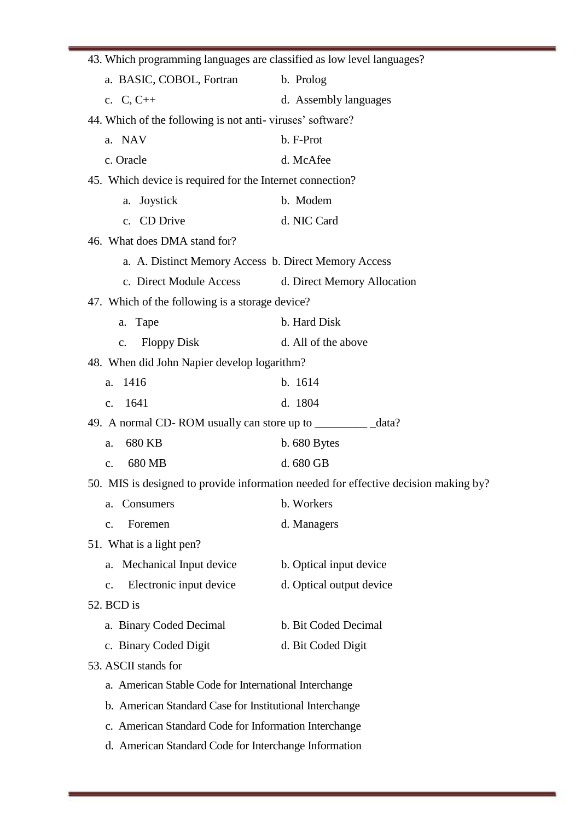| 43. Which programming languages are classified as low level languages?              |                             |  |  |  |
|-------------------------------------------------------------------------------------|-----------------------------|--|--|--|
| a. BASIC, COBOL, Fortran                                                            | b. Prolog                   |  |  |  |
| c. $C, C++$                                                                         | d. Assembly languages       |  |  |  |
| 44. Which of the following is not anti-viruses' software?                           |                             |  |  |  |
| a. NAV                                                                              | b. F-Prot                   |  |  |  |
| c. Oracle                                                                           | d. McAfee                   |  |  |  |
| 45. Which device is required for the Internet connection?                           |                             |  |  |  |
| Joystick<br>a.                                                                      | b. Modem                    |  |  |  |
| c. CD Drive                                                                         | d. NIC Card                 |  |  |  |
| 46. What does DMA stand for?                                                        |                             |  |  |  |
| a. A. Distinct Memory Access b. Direct Memory Access                                |                             |  |  |  |
| c. Direct Module Access                                                             | d. Direct Memory Allocation |  |  |  |
| 47. Which of the following is a storage device?                                     |                             |  |  |  |
| a. Tape                                                                             | b. Hard Disk                |  |  |  |
| <b>Floppy Disk</b><br>$\mathbf{c}$ .                                                | d. All of the above         |  |  |  |
| 48. When did John Napier develop logarithm?                                         |                             |  |  |  |
| a. 1416                                                                             | b. 1614                     |  |  |  |
| 1641<br>$\mathbf{c}$ .                                                              | d. 1804                     |  |  |  |
|                                                                                     |                             |  |  |  |
| 680 KB<br>a.                                                                        | $b.680$ Bytes               |  |  |  |
| 680 MB<br>$\mathbf{c}$ .                                                            | d. 680 GB                   |  |  |  |
| 50. MIS is designed to provide information needed for effective decision making by? |                             |  |  |  |
| Consumers<br>a.                                                                     | b. Workers                  |  |  |  |
| Foremen<br>c.                                                                       | d. Managers                 |  |  |  |
| 51. What is a light pen?                                                            |                             |  |  |  |
| Mechanical Input device<br>a.                                                       | b. Optical input device     |  |  |  |
| Electronic input device<br>c.                                                       | d. Optical output device    |  |  |  |
| 52. BCD is                                                                          |                             |  |  |  |
| a. Binary Coded Decimal                                                             | b. Bit Coded Decimal        |  |  |  |
| c. Binary Coded Digit                                                               | d. Bit Coded Digit          |  |  |  |
| 53. ASCII stands for                                                                |                             |  |  |  |
| a. American Stable Code for International Interchange                               |                             |  |  |  |
| b. American Standard Case for Institutional Interchange                             |                             |  |  |  |
| c. American Standard Code for Information Interchange                               |                             |  |  |  |
| d. American Standard Code for Interchange Information                               |                             |  |  |  |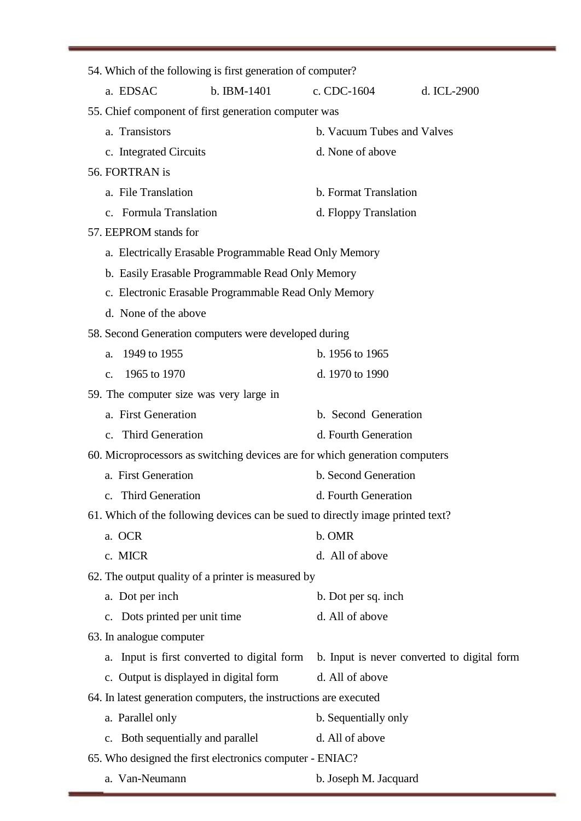| 54. Which of the following is first generation of computer?                    |                                             |  |  |
|--------------------------------------------------------------------------------|---------------------------------------------|--|--|
| a. EDSAC<br>b. IBM-1401                                                        | c. CDC-1604<br>d. ICL-2900                  |  |  |
| 55. Chief component of first generation computer was                           |                                             |  |  |
| a. Transistors                                                                 | b. Vacuum Tubes and Valves                  |  |  |
| c. Integrated Circuits                                                         | d. None of above                            |  |  |
| 56. FORTRAN is                                                                 |                                             |  |  |
| a. File Translation                                                            | b. Format Translation                       |  |  |
| c. Formula Translation                                                         | d. Floppy Translation                       |  |  |
| 57. EEPROM stands for                                                          |                                             |  |  |
| a. Electrically Erasable Programmable Read Only Memory                         |                                             |  |  |
| b. Easily Erasable Programmable Read Only Memory                               |                                             |  |  |
| c. Electronic Erasable Programmable Read Only Memory                           |                                             |  |  |
| d. None of the above                                                           |                                             |  |  |
| 58. Second Generation computers were developed during                          |                                             |  |  |
| 1949 to 1955<br>a.                                                             | b. 1956 to 1965                             |  |  |
| 1965 to 1970<br>$C_{\star}$                                                    | d. 1970 to 1990                             |  |  |
| 59. The computer size was very large in                                        |                                             |  |  |
| a. First Generation                                                            | b. Second Generation                        |  |  |
| c. Third Generation                                                            | d. Fourth Generation                        |  |  |
| 60. Microprocessors as switching devices are for which generation computers    |                                             |  |  |
| a. First Generation                                                            | b. Second Generation                        |  |  |
| c. Third Generation                                                            | d. Fourth Generation                        |  |  |
| 61. Which of the following devices can be sued to directly image printed text? |                                             |  |  |
| a. OCR                                                                         | b. OMR                                      |  |  |
| c. MICR                                                                        | d. All of above                             |  |  |
| 62. The output quality of a printer is measured by                             |                                             |  |  |
| a. Dot per inch                                                                | b. Dot per sq. inch                         |  |  |
| c. Dots printed per unit time                                                  | d. All of above                             |  |  |
| 63. In analogue computer                                                       |                                             |  |  |
| a. Input is first converted to digital form                                    | b. Input is never converted to digital form |  |  |
| c. Output is displayed in digital form                                         | d. All of above                             |  |  |
| 64. In latest generation computers, the instructions are executed              |                                             |  |  |
| a. Parallel only                                                               | b. Sequentially only                        |  |  |
| c. Both sequentially and parallel                                              | d. All of above                             |  |  |
| 65. Who designed the first electronics computer - ENIAC?                       |                                             |  |  |
| a. Van-Neumann                                                                 | b. Joseph M. Jacquard                       |  |  |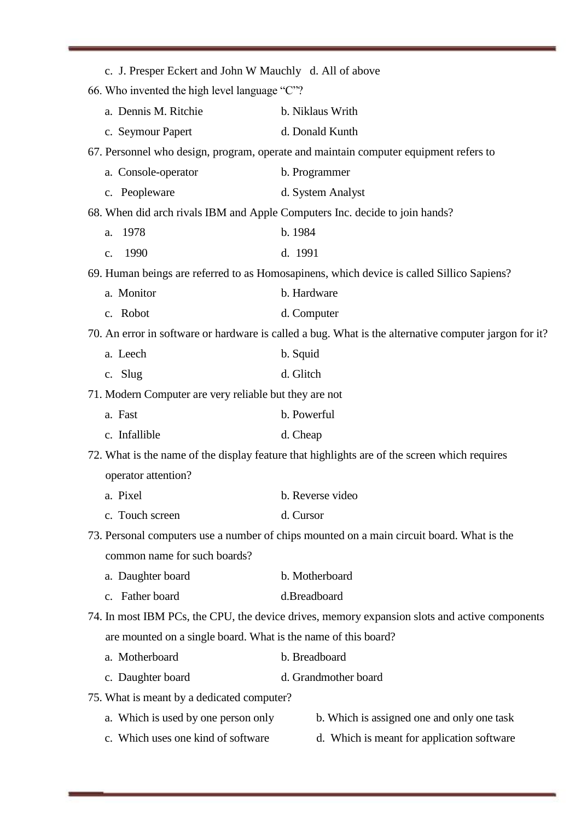| c. J. Presper Eckert and John W Mauchly d. All of above                                   |                                                                                                       |  |  |  |
|-------------------------------------------------------------------------------------------|-------------------------------------------------------------------------------------------------------|--|--|--|
| 66. Who invented the high level language "C"?                                             |                                                                                                       |  |  |  |
| a. Dennis M. Ritchie                                                                      | b. Niklaus Writh                                                                                      |  |  |  |
| c. Seymour Papert                                                                         | d. Donald Kunth                                                                                       |  |  |  |
|                                                                                           | 67. Personnel who design, program, operate and maintain computer equipment refers to                  |  |  |  |
| a. Console-operator                                                                       | b. Programmer                                                                                         |  |  |  |
| c. Peopleware                                                                             | d. System Analyst                                                                                     |  |  |  |
|                                                                                           | 68. When did arch rivals IBM and Apple Computers Inc. decide to join hands?                           |  |  |  |
| 1978<br>a.                                                                                | b. 1984                                                                                               |  |  |  |
| 1990<br>$C_{\bullet}$                                                                     | d. 1991                                                                                               |  |  |  |
|                                                                                           | 69. Human beings are referred to as Homosapinens, which device is called Sillico Sapiens?             |  |  |  |
| a. Monitor                                                                                | b. Hardware                                                                                           |  |  |  |
| c. Robot                                                                                  | d. Computer                                                                                           |  |  |  |
|                                                                                           | 70. An error in software or hardware is called a bug. What is the alternative computer jargon for it? |  |  |  |
| a. Leech                                                                                  | b. Squid                                                                                              |  |  |  |
| c. Slug                                                                                   | d. Glitch                                                                                             |  |  |  |
| 71. Modern Computer are very reliable but they are not                                    |                                                                                                       |  |  |  |
| a. Fast                                                                                   | b. Powerful                                                                                           |  |  |  |
| c. Infallible                                                                             | d. Cheap                                                                                              |  |  |  |
|                                                                                           | 72. What is the name of the display feature that highlights are of the screen which requires          |  |  |  |
| operator attention?                                                                       |                                                                                                       |  |  |  |
| a. Pixel                                                                                  | b. Reverse video                                                                                      |  |  |  |
| c. Touch screen                                                                           | d. Cursor                                                                                             |  |  |  |
| 73. Personal computers use a number of chips mounted on a main circuit board. What is the |                                                                                                       |  |  |  |
| common name for such boards?                                                              |                                                                                                       |  |  |  |
| a. Daughter board                                                                         | b. Motherboard                                                                                        |  |  |  |
| c. Father board                                                                           | d.Breadboard                                                                                          |  |  |  |
|                                                                                           | 74. In most IBM PCs, the CPU, the device drives, memory expansion slots and active components         |  |  |  |
| are mounted on a single board. What is the name of this board?                            |                                                                                                       |  |  |  |
| a. Motherboard                                                                            | b. Breadboard                                                                                         |  |  |  |
| c. Daughter board                                                                         | d. Grandmother board                                                                                  |  |  |  |
| 75. What is meant by a dedicated computer?                                                |                                                                                                       |  |  |  |
| a. Which is used by one person only                                                       | b. Which is assigned one and only one task                                                            |  |  |  |
| c. Which uses one kind of software                                                        | d. Which is meant for application software                                                            |  |  |  |
|                                                                                           |                                                                                                       |  |  |  |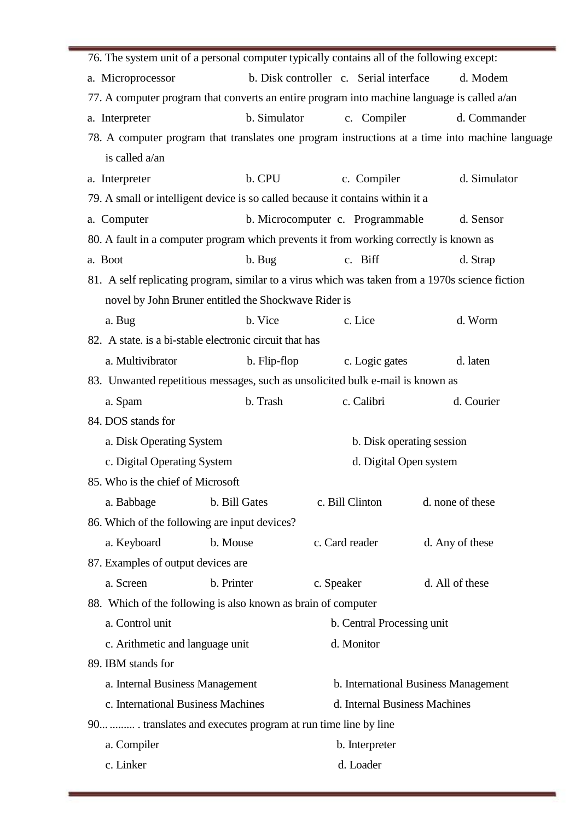| 76. The system unit of a personal computer typically contains all of the following except:      |                                                      |                                        |                                                                                                 |  |  |
|-------------------------------------------------------------------------------------------------|------------------------------------------------------|----------------------------------------|-------------------------------------------------------------------------------------------------|--|--|
| a. Microprocessor                                                                               |                                                      | b. Disk controller c. Serial interface | d. Modem                                                                                        |  |  |
| 77. A computer program that converts an entire program into machine language is called a/an     |                                                      |                                        |                                                                                                 |  |  |
| a. Interpreter                                                                                  | b. Simulator                                         | c. Compiler                            | d. Commander                                                                                    |  |  |
|                                                                                                 |                                                      |                                        | 78. A computer program that translates one program instructions at a time into machine language |  |  |
| is called a/an                                                                                  |                                                      |                                        |                                                                                                 |  |  |
| a. Interpreter                                                                                  | b. CPU                                               | c. Compiler                            | d. Simulator                                                                                    |  |  |
| 79. A small or intelligent device is so called because it contains within it a                  |                                                      |                                        |                                                                                                 |  |  |
| a. Computer                                                                                     |                                                      | b. Microcomputer c. Programmable       | d. Sensor                                                                                       |  |  |
| 80. A fault in a computer program which prevents it from working correctly is known as          |                                                      |                                        |                                                                                                 |  |  |
| a. Boot                                                                                         | b. Bug                                               | c. Biff                                | d. Strap                                                                                        |  |  |
| 81. A self replicating program, similar to a virus which was taken from a 1970s science fiction |                                                      |                                        |                                                                                                 |  |  |
|                                                                                                 | novel by John Bruner entitled the Shockwave Rider is |                                        |                                                                                                 |  |  |
| a. Bug                                                                                          | b. Vice                                              | c. Lice                                | d. Worm                                                                                         |  |  |
| 82. A state, is a bi-stable electronic circuit that has                                         |                                                      |                                        |                                                                                                 |  |  |
| a. Multivibrator                                                                                | b. Flip-flop                                         | c. Logic gates                         | d. laten                                                                                        |  |  |
| 83. Unwanted repetitious messages, such as unsolicited bulk e-mail is known as                  |                                                      |                                        |                                                                                                 |  |  |
| a. Spam                                                                                         | b. Trash                                             | c. Calibri                             | d. Courier                                                                                      |  |  |
| 84. DOS stands for                                                                              |                                                      |                                        |                                                                                                 |  |  |
| a. Disk Operating System                                                                        |                                                      | b. Disk operating session              |                                                                                                 |  |  |
| c. Digital Operating System                                                                     |                                                      | d. Digital Open system                 |                                                                                                 |  |  |
| 85. Who is the chief of Microsoft                                                               |                                                      |                                        |                                                                                                 |  |  |
| a. Babbage                                                                                      | b. Bill Gates                                        | c. Bill Clinton                        | d. none of these                                                                                |  |  |
| 86. Which of the following are input devices?                                                   |                                                      |                                        |                                                                                                 |  |  |
| a. Keyboard                                                                                     | b. Mouse                                             | c. Card reader                         | d. Any of these                                                                                 |  |  |
| 87. Examples of output devices are                                                              |                                                      |                                        |                                                                                                 |  |  |
| a. Screen                                                                                       | b. Printer                                           | c. Speaker                             | d. All of these                                                                                 |  |  |
| 88. Which of the following is also known as brain of computer                                   |                                                      |                                        |                                                                                                 |  |  |
| a. Control unit                                                                                 |                                                      | b. Central Processing unit             |                                                                                                 |  |  |
| c. Arithmetic and language unit                                                                 |                                                      | d. Monitor                             |                                                                                                 |  |  |
| 89. IBM stands for                                                                              |                                                      |                                        |                                                                                                 |  |  |
| a. Internal Business Management                                                                 |                                                      |                                        | b. International Business Management                                                            |  |  |
| c. International Business Machines                                                              |                                                      | d. Internal Business Machines          |                                                                                                 |  |  |
| 90  translates and executes program at run time line by line                                    |                                                      |                                        |                                                                                                 |  |  |
| a. Compiler                                                                                     |                                                      | b. Interpreter                         |                                                                                                 |  |  |
| c. Linker                                                                                       |                                                      | d. Loader                              |                                                                                                 |  |  |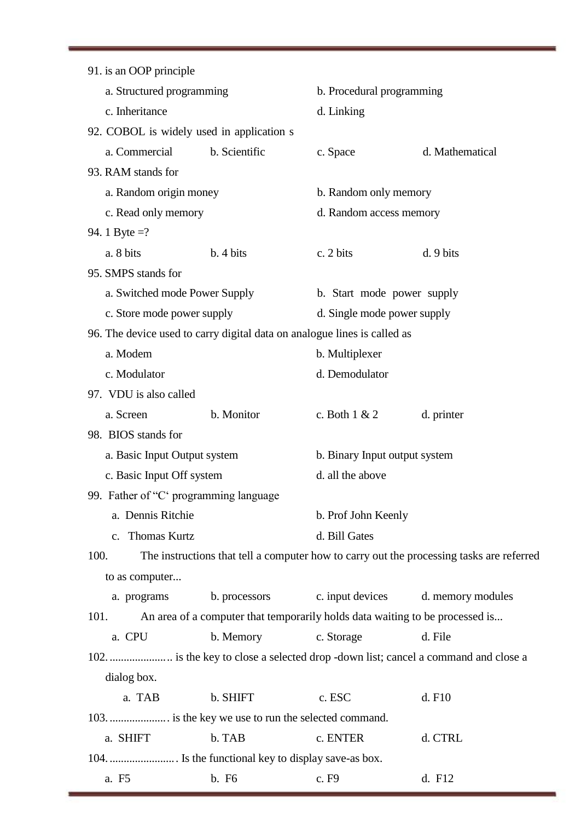| 91. is an OOP principle                                                  |                                                                              |                               |                                                                                          |
|--------------------------------------------------------------------------|------------------------------------------------------------------------------|-------------------------------|------------------------------------------------------------------------------------------|
| a. Structured programming                                                |                                                                              | b. Procedural programming     |                                                                                          |
| c. Inheritance                                                           |                                                                              | d. Linking                    |                                                                                          |
| 92. COBOL is widely used in application s                                |                                                                              |                               |                                                                                          |
| a. Commercial                                                            | b. Scientific                                                                | c. Space                      | d. Mathematical                                                                          |
| 93. RAM stands for                                                       |                                                                              |                               |                                                                                          |
| a. Random origin money                                                   |                                                                              | b. Random only memory         |                                                                                          |
| c. Read only memory                                                      |                                                                              | d. Random access memory       |                                                                                          |
| 94. 1 Byte =?                                                            |                                                                              |                               |                                                                                          |
| a. 8 bits                                                                | b. 4 bits                                                                    | c. 2 bits                     | d.9 bits                                                                                 |
| 95. SMPS stands for                                                      |                                                                              |                               |                                                                                          |
| a. Switched mode Power Supply                                            |                                                                              | b. Start mode power supply    |                                                                                          |
| c. Store mode power supply                                               |                                                                              | d. Single mode power supply   |                                                                                          |
| 96. The device used to carry digital data on analogue lines is called as |                                                                              |                               |                                                                                          |
| a. Modem                                                                 |                                                                              | b. Multiplexer                |                                                                                          |
| c. Modulator                                                             |                                                                              | d. Demodulator                |                                                                                          |
| 97. VDU is also called                                                   |                                                                              |                               |                                                                                          |
| a. Screen                                                                | b. Monitor                                                                   | c. Both $1 & 2$               | d. printer                                                                               |
| 98. BIOS stands for                                                      |                                                                              |                               |                                                                                          |
| a. Basic Input Output system                                             |                                                                              | b. Binary Input output system |                                                                                          |
| c. Basic Input Off system                                                |                                                                              | d. all the above              |                                                                                          |
| 99. Father of "C' programming language                                   |                                                                              |                               |                                                                                          |
| a. Dennis Ritchie                                                        |                                                                              | b. Prof John Keenly           |                                                                                          |
| c. Thomas Kurtz                                                          |                                                                              | d. Bill Gates                 |                                                                                          |
| 100.                                                                     |                                                                              |                               | The instructions that tell a computer how to carry out the processing tasks are referred |
| to as computer                                                           |                                                                              |                               |                                                                                          |
| a. programs                                                              | b. processors                                                                | c. input devices              | d. memory modules                                                                        |
| 101.                                                                     | An area of a computer that temporarily holds data waiting to be processed is |                               |                                                                                          |
| a. CPU                                                                   | b. Memory                                                                    | c. Storage                    | d. File                                                                                  |
|                                                                          |                                                                              |                               | 102.  is the key to close a selected drop -down list; cancel a command and close a       |
| dialog box.                                                              |                                                                              |                               |                                                                                          |
| a. TAB                                                                   | b. SHIFT                                                                     | c. ESC                        | d. F10                                                                                   |
| 103.  is the key we use to run the selected command.                     |                                                                              |                               |                                                                                          |
| a. SHIFT                                                                 | b. TAB                                                                       | c. ENTER                      | d. CTRL                                                                                  |
|                                                                          |                                                                              |                               |                                                                                          |
| a. F5                                                                    | b. F <sub>6</sub>                                                            | c. F9                         | d. F12                                                                                   |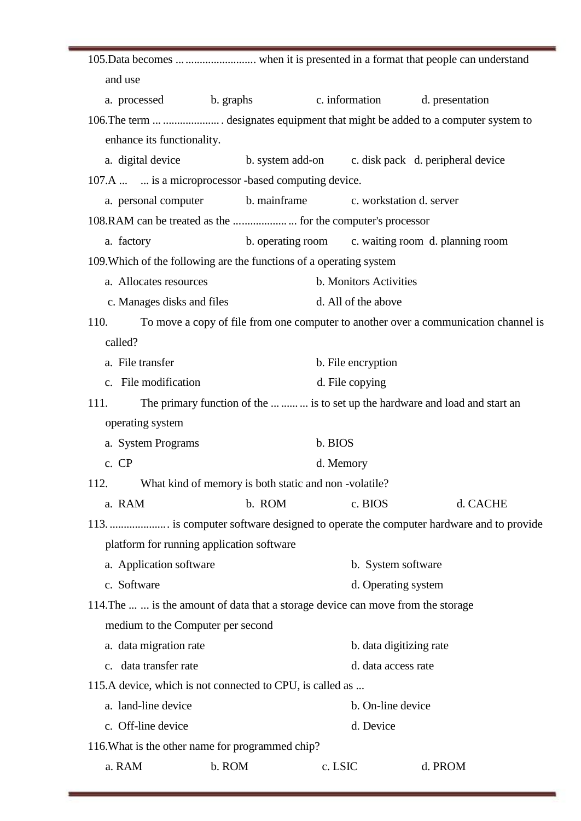| and use                                                      |                                           |                                                                                  |                                                                                     |  |
|--------------------------------------------------------------|-------------------------------------------|----------------------------------------------------------------------------------|-------------------------------------------------------------------------------------|--|
| a. processed b. graphs                                       |                                           | c. information d. presentation                                                   |                                                                                     |  |
|                                                              |                                           |                                                                                  | 106. The term   designates equipment that might be added to a computer system to    |  |
| enhance its functionality.                                   |                                           |                                                                                  |                                                                                     |  |
|                                                              |                                           |                                                                                  | a. digital device b. system add-on c. disk pack d. peripheral device                |  |
| 107.A   is a microprocessor -based computing device.         |                                           |                                                                                  |                                                                                     |  |
| a. personal computer                                         | b. mainframe                              | c. workstation d. server                                                         |                                                                                     |  |
|                                                              |                                           |                                                                                  |                                                                                     |  |
| a. factory                                                   |                                           |                                                                                  | b. operating room c. waiting room d. planning room                                  |  |
|                                                              |                                           | 109. Which of the following are the functions of a operating system              |                                                                                     |  |
| a. Allocates resources                                       |                                           | b. Monitors Activities                                                           |                                                                                     |  |
| c. Manages disks and files                                   |                                           | d. All of the above                                                              |                                                                                     |  |
| 110.                                                         |                                           |                                                                                  | To move a copy of file from one computer to another over a communication channel is |  |
| called?                                                      |                                           |                                                                                  |                                                                                     |  |
| a. File transfer                                             |                                           | b. File encryption                                                               |                                                                                     |  |
| c. File modification                                         |                                           | d. File copying                                                                  |                                                                                     |  |
| 111.                                                         |                                           |                                                                                  | The primary function of the   is to set up the hardware and load and start an       |  |
| operating system                                             |                                           |                                                                                  |                                                                                     |  |
| a. System Programs<br>b. BIOS                                |                                           |                                                                                  |                                                                                     |  |
| c. CP<br>d. Memory                                           |                                           |                                                                                  |                                                                                     |  |
| What kind of memory is both static and non-volatile?<br>112. |                                           |                                                                                  |                                                                                     |  |
| a. RAM                                                       |                                           | b. ROM<br>c. BIOS                                                                | d. CACHE                                                                            |  |
|                                                              |                                           |                                                                                  | 113.  is computer software designed to operate the computer hardware and to provide |  |
|                                                              | platform for running application software |                                                                                  |                                                                                     |  |
| a. Application software                                      |                                           |                                                                                  | b. System software                                                                  |  |
| c. Software                                                  |                                           |                                                                                  | d. Operating system                                                                 |  |
|                                                              |                                           | 114. The   is the amount of data that a storage device can move from the storage |                                                                                     |  |
|                                                              | medium to the Computer per second         |                                                                                  |                                                                                     |  |
| a. data migration rate                                       |                                           |                                                                                  | b. data digitizing rate                                                             |  |
| c. data transfer rate                                        |                                           |                                                                                  | d. data access rate                                                                 |  |
| 115.A device, which is not connected to CPU, is called as    |                                           |                                                                                  |                                                                                     |  |
| a. land-line device                                          |                                           |                                                                                  | b. On-line device                                                                   |  |
| c. Off-line device                                           |                                           | d. Device                                                                        |                                                                                     |  |
| 116. What is the other name for programmed chip?             |                                           |                                                                                  |                                                                                     |  |
| a. RAM                                                       | b. ROM                                    | c. LSIC                                                                          | d. PROM                                                                             |  |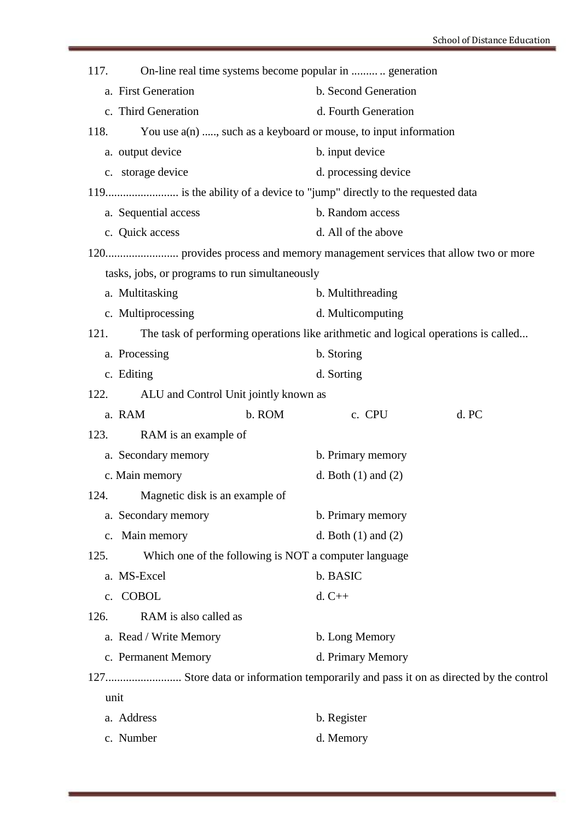| 117. | On-line real time systems become popular in  generation                            |                         |       |  |
|------|------------------------------------------------------------------------------------|-------------------------|-------|--|
|      | a. First Generation                                                                | b. Second Generation    |       |  |
|      | c. Third Generation                                                                | d. Fourth Generation    |       |  |
| 118. | You use $a(n)$ , such as a keyboard or mouse, to input information                 |                         |       |  |
|      | a. output device                                                                   | b. input device         |       |  |
|      | c. storage device                                                                  | d. processing device    |       |  |
|      |                                                                                    |                         |       |  |
|      | a. Sequential access                                                               | b. Random access        |       |  |
|      | c. Quick access                                                                    | d. All of the above     |       |  |
|      |                                                                                    |                         |       |  |
|      | tasks, jobs, or programs to run simultaneously                                     |                         |       |  |
|      | a. Multitasking                                                                    | b. Multithreading       |       |  |
|      | c. Multiprocessing                                                                 | d. Multicomputing       |       |  |
| 121. | The task of performing operations like arithmetic and logical operations is called |                         |       |  |
|      | a. Processing                                                                      | b. Storing              |       |  |
|      | c. Editing                                                                         | d. Sorting              |       |  |
| 122. | ALU and Control Unit jointly known as                                              |                         |       |  |
|      | a. RAM<br>b. ROM                                                                   | c. CPU                  | d. PC |  |
| 123. | RAM is an example of                                                               |                         |       |  |
|      | a. Secondary memory                                                                | b. Primary memory       |       |  |
|      | c. Main memory                                                                     | d. Both $(1)$ and $(2)$ |       |  |
|      | 124. Magnetic disk is an example of                                                |                         |       |  |
|      | a. Secondary memory                                                                | b. Primary memory       |       |  |
|      | c. Main memory                                                                     | d. Both $(1)$ and $(2)$ |       |  |
| 125. | Which one of the following is NOT a computer language                              |                         |       |  |
|      | a. MS-Excel                                                                        | b. BASIC                |       |  |
|      | c. COBOL                                                                           | $d. C++$                |       |  |
| 126. | RAM is also called as                                                              |                         |       |  |
|      | a. Read / Write Memory                                                             | b. Long Memory          |       |  |
|      | c. Permanent Memory                                                                | d. Primary Memory       |       |  |
|      |                                                                                    |                         |       |  |
|      | unit                                                                               |                         |       |  |
|      | a. Address                                                                         | b. Register             |       |  |

c. Number d. Memory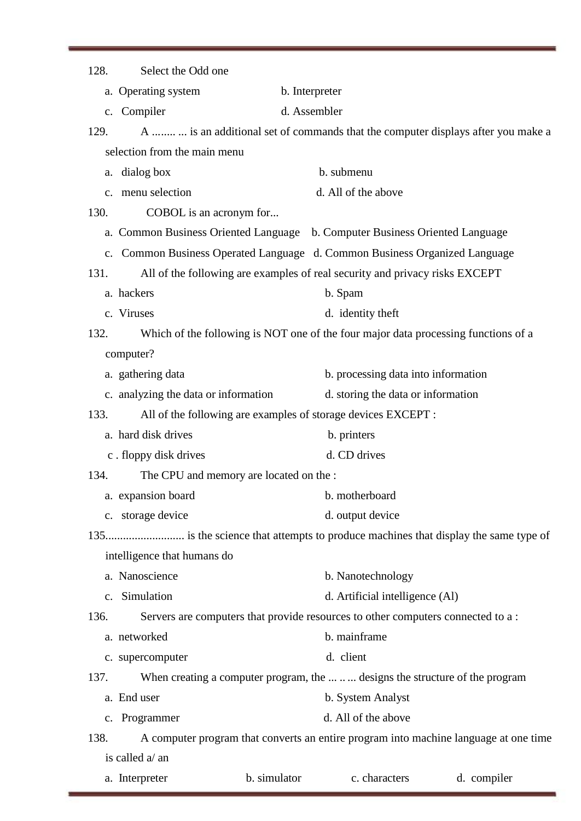| Select the Odd one<br>128.                      |                                                                                      |  |
|-------------------------------------------------|--------------------------------------------------------------------------------------|--|
| a. Operating system                             | b. Interpreter                                                                       |  |
| Compiler<br>$c_{\cdot}$                         | d. Assembler                                                                         |  |
| 129.                                            | A   is an additional set of commands that the computer displays after you make a     |  |
| selection from the main menu                    |                                                                                      |  |
| a. dialog box                                   | b. submenu                                                                           |  |
| c. menu selection                               | d. All of the above                                                                  |  |
| 130.<br>COBOL is an acronym for                 |                                                                                      |  |
|                                                 | a. Common Business Oriented Language b. Computer Business Oriented Language          |  |
|                                                 | c. Common Business Operated Language d. Common Business Organized Language           |  |
| 131.                                            | All of the following are examples of real security and privacy risks EXCEPT          |  |
| a. hackers                                      | b. Spam                                                                              |  |
| c. Viruses                                      | d. identity theft                                                                    |  |
| 132.                                            | Which of the following is NOT one of the four major data processing functions of a   |  |
| computer?                                       |                                                                                      |  |
| a. gathering data                               | b. processing data into information                                                  |  |
| c. analyzing the data or information            | d. storing the data or information                                                   |  |
| 133.                                            | All of the following are examples of storage devices EXCEPT :                        |  |
| a. hard disk drives                             | b. printers                                                                          |  |
| c. floppy disk drives                           | d. CD drives                                                                         |  |
| 134.<br>The CPU and memory are located on the : |                                                                                      |  |
| a. expansion board                              | b. motherboard                                                                       |  |
| c. storage device                               | d. output device                                                                     |  |
|                                                 |                                                                                      |  |
| intelligence that humans do                     |                                                                                      |  |
| a. Nanoscience                                  | b. Nanotechnology                                                                    |  |
| Simulation<br>$\mathbf{c}$ .                    | d. Artificial intelligence (Al)                                                      |  |
| 136.                                            | Servers are computers that provide resources to other computers connected to a:      |  |
| a. networked                                    | b. mainframe                                                                         |  |
| c. supercomputer                                | d. client                                                                            |  |
| 137.                                            | When creating a computer program, the    designs the structure of the program        |  |
| a. End user                                     | b. System Analyst                                                                    |  |
| Programmer<br>c.                                | d. All of the above                                                                  |  |
| 138.                                            | A computer program that converts an entire program into machine language at one time |  |
| is called a/ an                                 |                                                                                      |  |
| a. Interpreter                                  | b. simulator<br>c. characters<br>d. compiler                                         |  |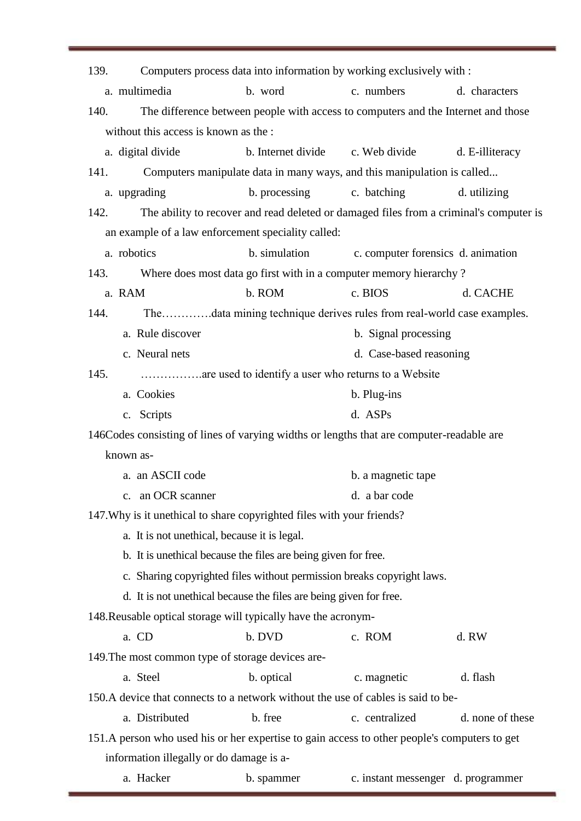| 139.                                                                                         |               | Computers process data into information by working exclusively with :                  |                  |  |  |  |
|----------------------------------------------------------------------------------------------|---------------|----------------------------------------------------------------------------------------|------------------|--|--|--|
| a. multimedia                                                                                | b. word       | c. numbers                                                                             | d. characters    |  |  |  |
| 140.                                                                                         |               | The difference between people with access to computers and the Internet and those      |                  |  |  |  |
| without this access is known as the :                                                        |               |                                                                                        |                  |  |  |  |
| a. digital divide                                                                            |               | b. Internet divide c. Web divide                                                       | d. E-illiteracy  |  |  |  |
| 141.                                                                                         |               | Computers manipulate data in many ways, and this manipulation is called                |                  |  |  |  |
| a. upgrading                                                                                 | b. processing | c. batching                                                                            | d. utilizing     |  |  |  |
| 142.                                                                                         |               | The ability to recover and read deleted or damaged files from a criminal's computer is |                  |  |  |  |
| an example of a law enforcement speciality called:                                           |               |                                                                                        |                  |  |  |  |
| a. robotics                                                                                  | b. simulation | c. computer forensics d. animation                                                     |                  |  |  |  |
| 143.                                                                                         |               | Where does most data go first with in a computer memory hierarchy?                     |                  |  |  |  |
| a. RAM                                                                                       | b. ROM        | c. BIOS                                                                                | d. CACHE         |  |  |  |
| 144.                                                                                         |               | Thedata mining technique derives rules from real-world case examples.                  |                  |  |  |  |
| a. Rule discover                                                                             |               | b. Signal processing                                                                   |                  |  |  |  |
| c. Neural nets                                                                               |               | d. Case-based reasoning                                                                |                  |  |  |  |
| 145.                                                                                         |               |                                                                                        |                  |  |  |  |
| a. Cookies<br>b. Plug-ins                                                                    |               |                                                                                        |                  |  |  |  |
| c. Scripts                                                                                   | d. ASPs       |                                                                                        |                  |  |  |  |
| 146Codes consisting of lines of varying widths or lengths that are computer-readable are     |               |                                                                                        |                  |  |  |  |
| known as-                                                                                    |               |                                                                                        |                  |  |  |  |
| a. an ASCII code                                                                             |               | b. a magnetic tape                                                                     |                  |  |  |  |
| an OCR scanner                                                                               |               | d. a bar code                                                                          |                  |  |  |  |
| 147. Why is it unethical to share copyrighted files with your friends?                       |               |                                                                                        |                  |  |  |  |
| a. It is not unethical, because it is legal.                                                 |               |                                                                                        |                  |  |  |  |
| b. It is unethical because the files are being given for free.                               |               |                                                                                        |                  |  |  |  |
| c. Sharing copyrighted files without permission breaks copyright laws.                       |               |                                                                                        |                  |  |  |  |
| d. It is not unethical because the files are being given for free.                           |               |                                                                                        |                  |  |  |  |
| 148. Reusable optical storage will typically have the acronym-                               |               |                                                                                        |                  |  |  |  |
| a. CD                                                                                        | b. DVD        | c. ROM                                                                                 | d. RW            |  |  |  |
| 149. The most common type of storage devices are-                                            |               |                                                                                        |                  |  |  |  |
| a. Steel                                                                                     | b. optical    | c. magnetic                                                                            | d. flash         |  |  |  |
| 150.A device that connects to a network without the use of cables is said to be-             |               |                                                                                        |                  |  |  |  |
| a. Distributed                                                                               | b. free       | c. centralized                                                                         | d. none of these |  |  |  |
| 151.A person who used his or her expertise to gain access to other people's computers to get |               |                                                                                        |                  |  |  |  |
| information illegally or do damage is a-                                                     |               |                                                                                        |                  |  |  |  |
| a. Hacker                                                                                    | b. spammer    | c. instant messenger d. programmer                                                     |                  |  |  |  |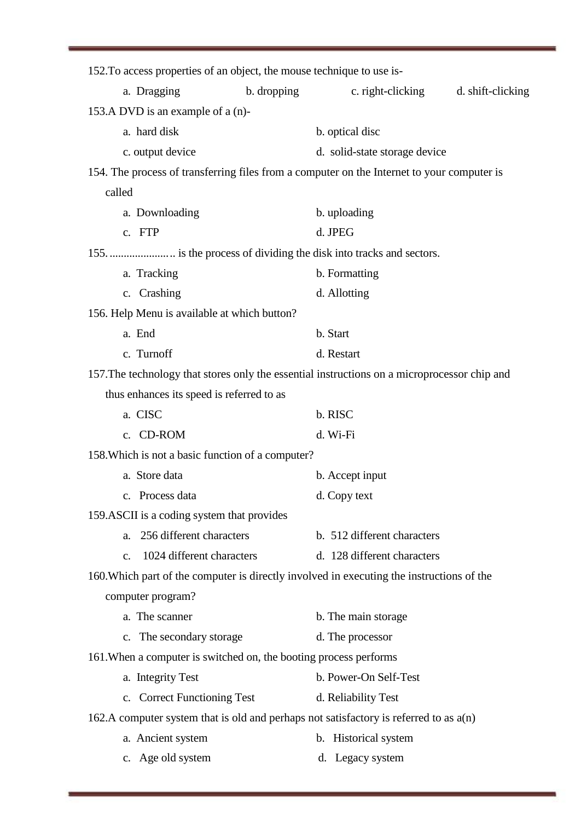| 152. To access properties of an object, the mouse technique to use is-                       |             |                               |                   |
|----------------------------------------------------------------------------------------------|-------------|-------------------------------|-------------------|
| a. Dragging                                                                                  | b. dropping | c. right-clicking             | d. shift-clicking |
| 153.A DVD is an example of a (n)-                                                            |             |                               |                   |
| a. hard disk                                                                                 |             | b. optical disc               |                   |
| c. output device                                                                             |             | d. solid-state storage device |                   |
| 154. The process of transferring files from a computer on the Internet to your computer is   |             |                               |                   |
| called                                                                                       |             |                               |                   |
| a. Downloading                                                                               |             | b. uploading                  |                   |
| c. FTP                                                                                       |             | d. JPEG                       |                   |
|                                                                                              |             |                               |                   |
| a. Tracking                                                                                  |             | b. Formatting                 |                   |
| c. Crashing                                                                                  |             | d. Allotting                  |                   |
| 156. Help Menu is available at which button?                                                 |             |                               |                   |
| a. End                                                                                       |             | b. Start                      |                   |
| c. Turnoff                                                                                   |             | d. Restart                    |                   |
| 157. The technology that stores only the essential instructions on a microprocessor chip and |             |                               |                   |
| thus enhances its speed is referred to as                                                    |             |                               |                   |
| a. CISC                                                                                      |             | b. RISC                       |                   |
| c. CD-ROM                                                                                    |             | d. Wi-Fi                      |                   |
| 158. Which is not a basic function of a computer?                                            |             |                               |                   |
| a. Store data                                                                                |             | b. Accept input               |                   |
| c. Process data                                                                              |             | d. Copy text                  |                   |
| 159. ASCII is a coding system that provides                                                  |             |                               |                   |
| 256 different characters<br>a.                                                               |             | b. 512 different characters   |                   |
| 1024 different characters<br>$C_{\bullet}$                                                   |             | d. 128 different characters   |                   |
| 160. Which part of the computer is directly involved in executing the instructions of the    |             |                               |                   |
| computer program?                                                                            |             |                               |                   |
| a. The scanner                                                                               |             | b. The main storage           |                   |
| c. The secondary storage                                                                     |             | d. The processor              |                   |
| 161. When a computer is switched on, the booting process performs                            |             |                               |                   |
| a. Integrity Test                                                                            |             | b. Power-On Self-Test         |                   |
| c. Correct Functioning Test                                                                  |             | d. Reliability Test           |                   |
| 162.A computer system that is old and perhaps not satisfactory is referred to as $a(n)$      |             |                               |                   |
| a. Ancient system                                                                            |             | b. Historical system          |                   |
| c. Age old system                                                                            |             | d. Legacy system              |                   |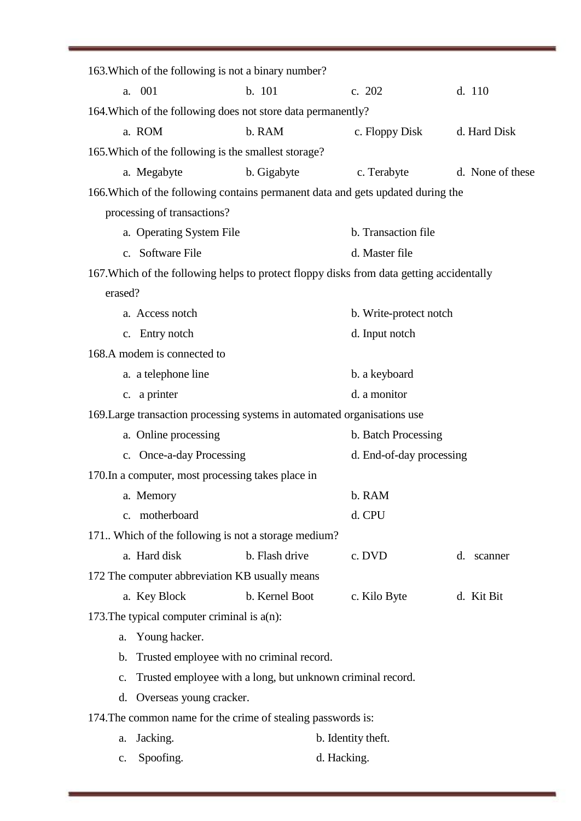|                | 163. Which of the following is not a binary number?          |                |                                                                                          |                  |
|----------------|--------------------------------------------------------------|----------------|------------------------------------------------------------------------------------------|------------------|
|                | a. 001                                                       | b. 101         | c. 202                                                                                   | d. 110           |
|                | 164. Which of the following does not store data permanently? |                |                                                                                          |                  |
|                | a. ROM                                                       | b. RAM         | c. Floppy Disk d. Hard Disk                                                              |                  |
|                | 165. Which of the following is the smallest storage?         |                |                                                                                          |                  |
|                | a. Megabyte                                                  | b. Gigabyte    | c. Terabyte                                                                              | d. None of these |
|                |                                                              |                | 166. Which of the following contains permanent data and gets updated during the          |                  |
|                | processing of transactions?                                  |                |                                                                                          |                  |
|                | a. Operating System File                                     |                | b. Transaction file                                                                      |                  |
|                | c. Software File                                             |                | d. Master file                                                                           |                  |
|                |                                                              |                | 167. Which of the following helps to protect floppy disks from data getting accidentally |                  |
| erased?        |                                                              |                |                                                                                          |                  |
|                | a. Access notch                                              |                | b. Write-protect notch                                                                   |                  |
|                | c. Entry notch                                               |                | d. Input notch                                                                           |                  |
|                | 168.A modem is connected to                                  |                |                                                                                          |                  |
|                | a. a telephone line                                          |                | b. a keyboard                                                                            |                  |
|                | c. a printer                                                 |                | d. a monitor                                                                             |                  |
|                |                                                              |                | 169. Large transaction processing systems in automated organisations use                 |                  |
|                | a. Online processing                                         |                | b. Batch Processing                                                                      |                  |
|                | c. Once-a-day Processing                                     |                | d. End-of-day processing                                                                 |                  |
|                | 170. In a computer, most processing takes place in           |                |                                                                                          |                  |
|                | a. Memory                                                    |                | b. RAM                                                                                   |                  |
|                | c. motherboard                                               |                | d. CPU                                                                                   |                  |
|                | 171. Which of the following is not a storage medium?         |                |                                                                                          |                  |
|                | a. Hard disk                                                 | b. Flash drive | c. DVD                                                                                   | d. scanner       |
|                | 172 The computer abbreviation KB usually means               |                |                                                                                          |                  |
|                | a. Key Block                                                 | b. Kernel Boot | c. Kilo Byte                                                                             | d. Kit Bit       |
|                | 173. The typical computer criminal is $a(n)$ :               |                |                                                                                          |                  |
| a.             | Young hacker.                                                |                |                                                                                          |                  |
| $\mathbf b$ .  | Trusted employee with no criminal record.                    |                |                                                                                          |                  |
| c.             | Trusted employee with a long, but unknown criminal record.   |                |                                                                                          |                  |
| d.             | Overseas young cracker.                                      |                |                                                                                          |                  |
|                | 174. The common name for the crime of stealing passwords is: |                |                                                                                          |                  |
| a.             | Jacking.                                                     |                | b. Identity theft.                                                                       |                  |
| $\mathbf{c}$ . | Spoofing.                                                    | d. Hacking.    |                                                                                          |                  |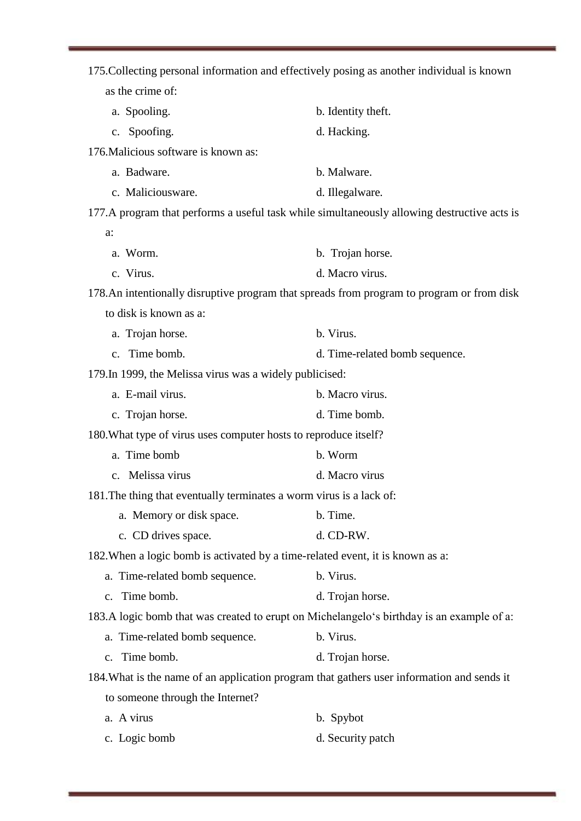| 175. Collecting personal information and effectively posing as another individual is known |                                                                                              |
|--------------------------------------------------------------------------------------------|----------------------------------------------------------------------------------------------|
| as the crime of:                                                                           |                                                                                              |
| a. Spooling.                                                                               | b. Identity theft.                                                                           |
| c. Spoofing.                                                                               | d. Hacking.                                                                                  |
| 176. Malicious software is known as:                                                       |                                                                                              |
| a. Badware.                                                                                | b. Malware.                                                                                  |
| c. Maliciousware.                                                                          | d. Illegalware.                                                                              |
|                                                                                            | 177. A program that performs a useful task while simultaneously allowing destructive acts is |
| a:                                                                                         |                                                                                              |
| a. Worm.                                                                                   | b. Trojan horse.                                                                             |
| c. Virus.                                                                                  | d. Macro virus.                                                                              |
|                                                                                            | 178.An intentionally disruptive program that spreads from program to program or from disk    |
| to disk is known as a:                                                                     |                                                                                              |
| a. Trojan horse.                                                                           | b. Virus.                                                                                    |
| c. Time bomb.                                                                              | d. Time-related bomb sequence.                                                               |
| 179. In 1999, the Melissa virus was a widely publicised:                                   |                                                                                              |
| a. E-mail virus.                                                                           | b. Macro virus.                                                                              |
| c. Trojan horse.                                                                           | d. Time bomb.                                                                                |
| 180. What type of virus uses computer hosts to reproduce itself?                           |                                                                                              |
| a. Time bomb                                                                               | b. Worm                                                                                      |
| c. Melissa virus                                                                           | d. Macro virus                                                                               |
| 181. The thing that eventually terminates a worm virus is a lack of:                       |                                                                                              |
| a. Memory or disk space.                                                                   | b. Time.                                                                                     |
| c. CD drives space.                                                                        | d. CD-RW.                                                                                    |
| 182. When a logic bomb is activated by a time-related event, it is known as a:             |                                                                                              |
| a. Time-related bomb sequence.                                                             | b. Virus.                                                                                    |
| c. Time bomb.                                                                              | d. Trojan horse.                                                                             |
| 183.A logic bomb that was created to erupt on Michelangelo's birthday is an example of a:  |                                                                                              |
| a. Time-related bomb sequence.                                                             | b. Virus.                                                                                    |
| c. Time bomb.                                                                              | d. Trojan horse.                                                                             |
| 184. What is the name of an application program that gathers user information and sends it |                                                                                              |
| to someone through the Internet?                                                           |                                                                                              |
| a. A virus                                                                                 | b. Spybot                                                                                    |
| c. Logic bomb                                                                              | d. Security patch                                                                            |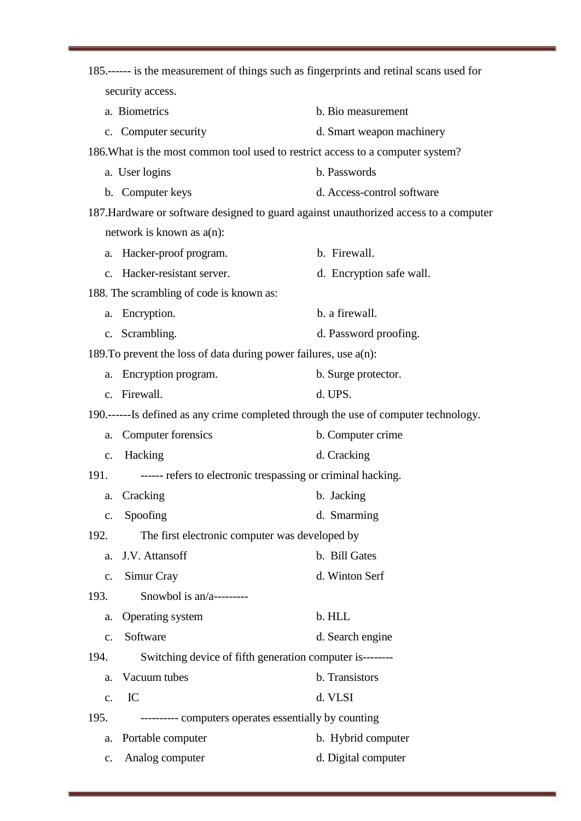| 185.------ is the measurement of things such as fingerprints and retinal scans used for |                            |
|-----------------------------------------------------------------------------------------|----------------------------|
| security access.                                                                        |                            |
| a. Biometrics                                                                           | b. Bio measurement         |
| c. Computer security                                                                    | d. Smart weapon machinery  |
| 186. What is the most common tool used to restrict access to a computer system?         |                            |
| a. User logins                                                                          | b. Passwords               |
| b. Computer keys                                                                        | d. Access-control software |
| 187. Hardware or software designed to guard against unauthorized access to a computer   |                            |
| network is known as $a(n)$ :                                                            |                            |
| Hacker-proof program.<br>a.                                                             | b. Firewall.               |
| Hacker-resistant server.<br>$C_{\bullet}$                                               | d. Encryption safe wall.   |
| 188. The scrambling of code is known as:                                                |                            |
| Encryption.<br>a.                                                                       | b. a firewall.             |
| c. Scrambling.                                                                          | d. Password proofing.      |
| 189. To prevent the loss of data during power failures, use $a(n)$ :                    |                            |
| Encryption program.<br>a.                                                               | b. Surge protector.        |
| c. Firewall.                                                                            | d. UPS.                    |
| 190.------Is defined as any crime completed through the use of computer technology.     |                            |
| Computer forensics<br>a.                                                                | b. Computer crime          |
| Hacking<br>c.                                                                           | d. Cracking                |
| ------ refers to electronic trespassing or criminal hacking.<br>191.                    |                            |
| a. Cracking                                                                             | b. Jacking                 |
| Spoofing<br>$\mathbf{c}$ .                                                              | d. Smarming                |
| 192.<br>The first electronic computer was developed by                                  |                            |
| J.V. Attansoff<br>a.                                                                    | b. Bill Gates              |
| Simur Cray<br>c.                                                                        | d. Winton Serf             |
| Snowbol is $an/a$ ---------<br>193.                                                     |                            |
| Operating system<br>a.                                                                  | b. HLL                     |
| Software<br>c.                                                                          | d. Search engine           |
| Switching device of fifth generation computer is--------<br>194.                        |                            |
| Vacuum tubes<br>a.                                                                      | b. Transistors             |
| IC<br>c.                                                                                | d. VLSI                    |
| 195.<br>---------- computers operates essentially by counting                           |                            |
| Portable computer<br>a.                                                                 | b. Hybrid computer         |
| Analog computer<br>c.                                                                   | d. Digital computer        |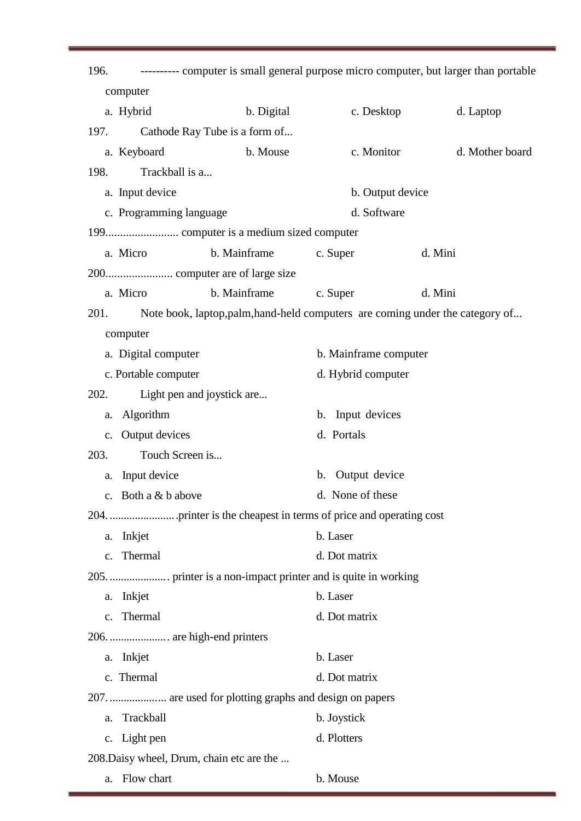| 196.          |                             |                                                                               |                       | ---------- computer is small general purpose micro computer, but larger than portable |
|---------------|-----------------------------|-------------------------------------------------------------------------------|-----------------------|---------------------------------------------------------------------------------------|
|               | computer                    |                                                                               |                       |                                                                                       |
|               | a. Hybrid                   | b. Digital                                                                    | c. Desktop            | d. Laptop                                                                             |
| 197.          |                             | Cathode Ray Tube is a form of                                                 |                       |                                                                                       |
|               | a. Keyboard                 | b. Mouse                                                                      | c. Monitor            | d. Mother board                                                                       |
| 198.          | Trackball is a              |                                                                               |                       |                                                                                       |
|               | a. Input device             |                                                                               | b. Output device      |                                                                                       |
|               | c. Programming language     |                                                                               | d. Software           |                                                                                       |
|               |                             |                                                                               |                       |                                                                                       |
|               | a. Micro                    | b. Mainframe                                                                  | c. Super              | d. Mini                                                                               |
|               |                             |                                                                               |                       |                                                                                       |
|               | a. Micro                    | b. Mainframe                                                                  | c. Super              | d. Mini                                                                               |
| 201.          |                             | Note book, laptop, palm, hand-held computers are coming under the category of |                       |                                                                                       |
|               | computer                    |                                                                               |                       |                                                                                       |
|               | a. Digital computer         |                                                                               | b. Mainframe computer |                                                                                       |
|               | c. Portable computer        |                                                                               | d. Hybrid computer    |                                                                                       |
| 202.          |                             | Light pen and joystick are                                                    |                       |                                                                                       |
| a.            | Algorithm                   |                                                                               | b. Input devices      |                                                                                       |
|               | c. Output devices           |                                                                               | d. Portals            |                                                                                       |
| 203.          | Touch Screen is             |                                                                               |                       |                                                                                       |
| a.            | Input device                |                                                                               | b. Output device      |                                                                                       |
|               | c. Both a $&$ b above       |                                                                               | d. None of these      |                                                                                       |
|               |                             |                                                                               |                       |                                                                                       |
| a.            | Inkjet                      |                                                                               | b. Laser              |                                                                                       |
| $C_{\bullet}$ | Thermal                     |                                                                               | d. Dot matrix         |                                                                                       |
|               |                             |                                                                               |                       |                                                                                       |
| a.            | Inkjet                      |                                                                               | b. Laser              |                                                                                       |
|               | c. Thermal                  |                                                                               | d. Dot matrix         |                                                                                       |
|               | 206.  are high-end printers |                                                                               |                       |                                                                                       |
| a.            | Inkjet                      |                                                                               | b. Laser              |                                                                                       |
|               | c. Thermal                  |                                                                               | d. Dot matrix         |                                                                                       |
|               |                             | 207.  are used for plotting graphs and design on papers                       |                       |                                                                                       |
| a.            | Trackball                   |                                                                               | b. Joystick           |                                                                                       |
|               | c. Light pen                |                                                                               | d. Plotters           |                                                                                       |
|               |                             | 208. Daisy wheel, Drum, chain etc are the                                     |                       |                                                                                       |
| a.            | Flow chart                  |                                                                               | b. Mouse              |                                                                                       |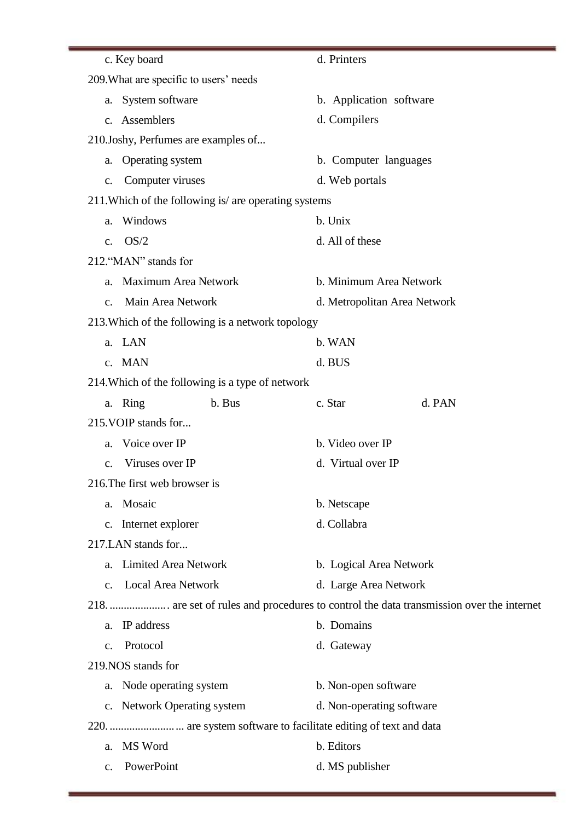| c. Key board                                          | d. Printers                  |
|-------------------------------------------------------|------------------------------|
| 209. What are specific to users' needs                |                              |
| System software<br>a.                                 | b. Application software      |
| c. Assemblers                                         | d. Compilers                 |
| 210.Joshy, Perfumes are examples of                   |                              |
| Operating system<br>a.                                | b. Computer languages        |
| Computer viruses<br>c.                                | d. Web portals               |
| 211. Which of the following is/ are operating systems |                              |
| Windows<br>a.                                         | b. Unix                      |
| OS/2<br>$\mathbf{C}$ .                                | d. All of these              |
| 212. "MAN" stands for                                 |                              |
| Maximum Area Network<br>a.                            | b. Minimum Area Network      |
| Main Area Network<br>$C_{\bullet}$                    | d. Metropolitan Area Network |
| 213. Which of the following is a network topology     |                              |
| LAN<br>a.                                             | b. WAN                       |
| c. MAN                                                | d. BUS                       |
| 214. Which of the following is a type of network      |                              |
| b. Bus<br>a. Ring                                     | c. Star<br>d. PAN            |
| 215. VOIP stands for                                  |                              |
| Voice over IP<br>a.                                   | b. Video over IP             |
| Viruses over IP<br>$\mathbf{c}$ .                     | d. Virtual over IP           |
| 216. The first web browser is                         |                              |
| Mosaic<br>a.                                          | b. Netscape                  |
| c. Internet explorer                                  | d. Collabra                  |
| 217.LAN stands for                                    |                              |
| <b>Limited Area Network</b><br>a.                     | b. Logical Area Network      |
| c. Local Area Network                                 | d. Large Area Network        |
|                                                       |                              |
| IP address<br>a.                                      | b. Domains                   |
| Protocol<br>$\mathbf{C}$ .                            | d. Gateway                   |
| 219. NOS stands for                                   |                              |
| a. Node operating system                              | b. Non-open software         |
| c. Network Operating system                           | d. Non-operating software    |
|                                                       |                              |
| MS Word<br>a.                                         | b. Editors                   |
| PowerPoint<br>c.                                      | d. MS publisher              |
|                                                       |                              |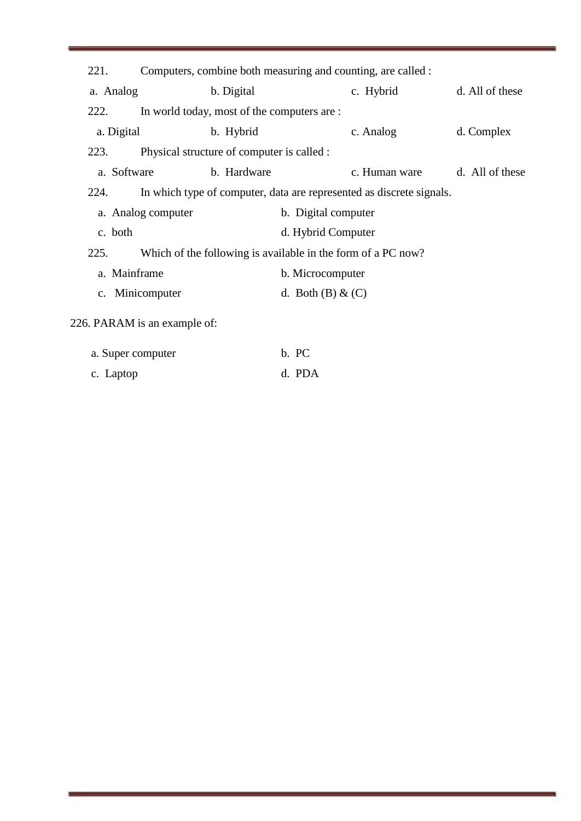| 221.                                      |                                                                      | Computers, combine both measuring and counting, are called : |                       |               |                 |  |  |
|-------------------------------------------|----------------------------------------------------------------------|--------------------------------------------------------------|-----------------------|---------------|-----------------|--|--|
| a. Analog                                 |                                                                      | b. Digital                                                   |                       | c. Hybrid     | d. All of these |  |  |
| 222.                                      |                                                                      | In world today, most of the computers are :                  |                       |               |                 |  |  |
| a. Digital                                |                                                                      | b. Hybrid                                                    |                       | c. Analog     | d. Complex      |  |  |
| 223.                                      |                                                                      | Physical structure of computer is called :                   |                       |               |                 |  |  |
| a. Software                               |                                                                      | b. Hardware                                                  |                       | c. Human ware | d. All of these |  |  |
| 224.                                      | In which type of computer, data are represented as discrete signals. |                                                              |                       |               |                 |  |  |
| a. Analog computer<br>b. Digital computer |                                                                      |                                                              |                       |               |                 |  |  |
| c. both                                   | d. Hybrid Computer                                                   |                                                              |                       |               |                 |  |  |
| 225.                                      | Which of the following is available in the form of a PC now?         |                                                              |                       |               |                 |  |  |
| a. Mainframe                              |                                                                      |                                                              | b. Microcomputer      |               |                 |  |  |
|                                           | c. Minicomputer                                                      |                                                              | d. Both $(B)$ & $(C)$ |               |                 |  |  |
|                                           | 226. PARAM is an example of:                                         |                                                              |                       |               |                 |  |  |

| a. Super computer | b. PC  |
|-------------------|--------|
| c. Laptop         | d. PDA |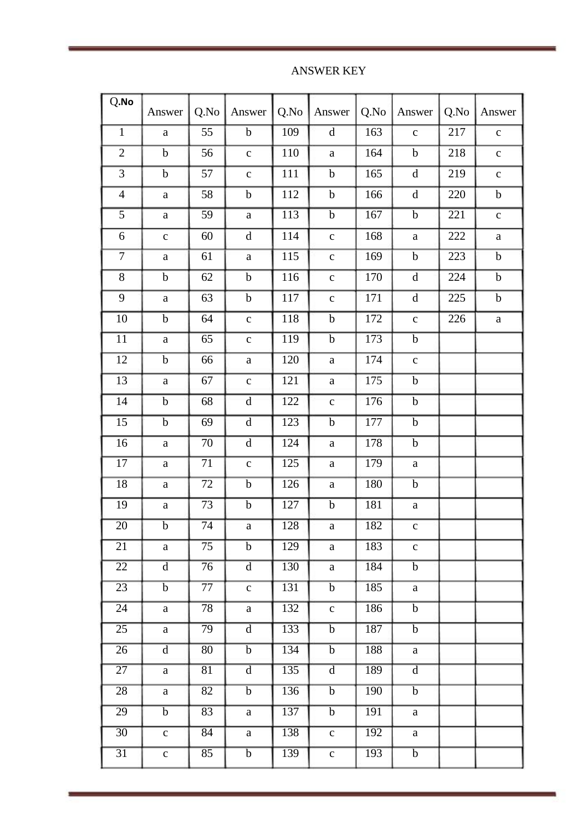ANSWER KEY

| Q.No            | Answer         | Q.No            | Answer                  | Q.No             | Answer         | Q.No             | Answer                                                                                                 | Q.No             | Answer       |
|-----------------|----------------|-----------------|-------------------------|------------------|----------------|------------------|--------------------------------------------------------------------------------------------------------|------------------|--------------|
| $\mathbf{1}$    | $\mathbf{a}$   | 55              | $\mathbf b$             | 109              | $\mathbf d$    | 163              | $\mathbf c$                                                                                            | 217              | $\mathbf{C}$ |
| $\mathbf{2}$    | $\mathbf b$    | 56              | $\mathbf{C}$            | 110              | $\rm{a}$       | 164              | $\mathbf b$                                                                                            | 218              | $\mathbf C$  |
| $\overline{3}$  | $\bf b$        | 57              | $\mathbf{C}$            | 111              | $\mathbf b$    | 165              | $\overline{\mathbf{d}}$                                                                                | $\overline{219}$ | $\mathbf{C}$ |
| $\overline{4}$  | $\rm{a}$       | 58              | $\mathbf b$             | 112              | $\mathbf b$    | 166              | $\mathrm{d}% \left\vert \mathbf{r}_{i}\right\rangle =\mathrm{d}\left\vert \mathbf{r}_{i}\right\rangle$ | 220              | $\mathbf b$  |
| $\overline{5}$  | $\rm{a}$       | 59              | $\rm{a}$                | 113              | $\overline{b}$ | 167              | $\overline{b}$                                                                                         | $\overline{221}$ | $\mathbf{C}$ |
| $\overline{6}$  | $\mathbf{c}$   | 60              | $\mathbf d$             | 114              | $\mathbf{C}$   | 168              | $\mathbf{a}$                                                                                           | 222              | $\rm{a}$     |
| $\overline{7}$  | $\mathbf{a}$   | 61              | $\rm{a}$                | 115              | $\mathbf{c}$   | 169              | $\mathbf b$                                                                                            | 223              | $\mathbf b$  |
| $\overline{8}$  | $\mathbf b$    | 62              | $\bf b$                 | 116              | $\mathbf{C}$   | 170              | $\mathbf d$                                                                                            | 224              | $\mathbf b$  |
| $\overline{9}$  | $\mathbf{a}$   | 63              | $\mathbf b$             | 117              | $\mathbf{C}$   | 171              | $\rm d$                                                                                                | $\overline{225}$ | $\bf b$      |
| $\overline{10}$ | $\overline{b}$ | 64              | $\mathbf{C}$            | 118              | $\overline{b}$ | $\overline{172}$ | $\mathbf c$                                                                                            | $\overline{226}$ | $\rm{a}$     |
| $\overline{11}$ | $\mathbf{a}$   | 65              | $\mathbf{C}$            | <b>119</b>       | $\overline{b}$ | 173              | $\overline{b}$                                                                                         |                  |              |
| $\overline{12}$ | $\mathbf b$    | 66              | $\rm{a}$                | 120              | $\rm{a}$       | 174              | $\mathbf{c}$                                                                                           |                  |              |
| 13              | $\mathbf{a}$   | 67              | $\mathbf{C}$            | 121              | $\rm{a}$       | 175              | $\mathbf b$                                                                                            |                  |              |
| 14              | $\mathbf b$    | 68              | $\mathbf d$             | 122              | $\mathbf{C}$   | 176              | $\mathbf b$                                                                                            |                  |              |
| $\overline{15}$ | $\overline{b}$ | 69              | $\mathbf d$             | 123              | $\overline{b}$ | 177              | $\overline{b}$                                                                                         |                  |              |
| $\overline{16}$ | $\mathbf{a}$   | $\overline{70}$ | $\overline{d}$          | $\overline{124}$ | $\rm{a}$       | 178              | $\overline{b}$                                                                                         |                  |              |
| $\overline{17}$ | $\mathbf{a}$   | $\overline{71}$ | $\mathbf{C}$            | $\overline{125}$ | $\mathbf a$    | 179              | $\rm{a}$                                                                                               |                  |              |
| 18              | $\mathbf{a}$   | $\overline{72}$ | $\mathbf b$             | 126              | $\rm{a}$       | 180              | $\mathbf b$                                                                                            |                  |              |
| 19              | $\mathbf{a}$   | 73              | $\mathbf b$             | 127              | $\mathbf b$    | 181              | $\rm{a}$                                                                                               |                  |              |
| $\overline{20}$ | $\overline{b}$ | $\overline{74}$ | $\mathbf{a}$            | 128              | $\mathbf{a}$   | 182              | $\mathbf{c}$                                                                                           |                  |              |
| 21              | a              | $\overline{75}$ | $\mathbf b$             | 129              | a              | 183              | $\mathbf{c}$                                                                                           |                  |              |
| 22              | $\overline{d}$ | 76              | $\overline{d}$          | 130              | a              | 184              | $\mathbf b$                                                                                            |                  |              |
| 23              | $\overline{b}$ | 77              | $\mathbf{C}$            | 131              | $\mathbf b$    | 185              | $\mathbf{a}$                                                                                           |                  |              |
| 24              | a              | 78              | a                       | 132              | $\mathbf{c}$   | 186              | $\mathbf b$                                                                                            |                  |              |
| $\overline{25}$ | a              | 79              | $\overline{\mathrm{d}}$ | 133              | $\overline{b}$ | 187              | $\overline{b}$                                                                                         |                  |              |
| 26              | $\mathbf d$    | 80              | $\overline{b}$          | 134              | $\overline{b}$ | 188              | a                                                                                                      |                  |              |
| $\overline{27}$ | a              | 81              | $\mathbf d$             | 135              | $\overline{d}$ | 189              | $\overline{d}$                                                                                         |                  |              |
| 28              | a              | 82              | $\mathbf b$             | 136              | $\mathbf b$    | 190              | $\overline{b}$                                                                                         |                  |              |
| 29              | $\mathbf b$    | 83              | a                       | 137              | $\mathbf b$    | 191              | $\mathbf{a}$                                                                                           |                  |              |
| $\overline{30}$ | $\mathbf{C}$   | 84              | a                       | 138              | $\mathbf{C}$   | 192              | a                                                                                                      |                  |              |
| $\overline{31}$ | $\mathbf{c}$   | 85              | $\mathbf b$             | 139              | $\mathbf{C}$   | 193              | $\mathbf b$                                                                                            |                  |              |